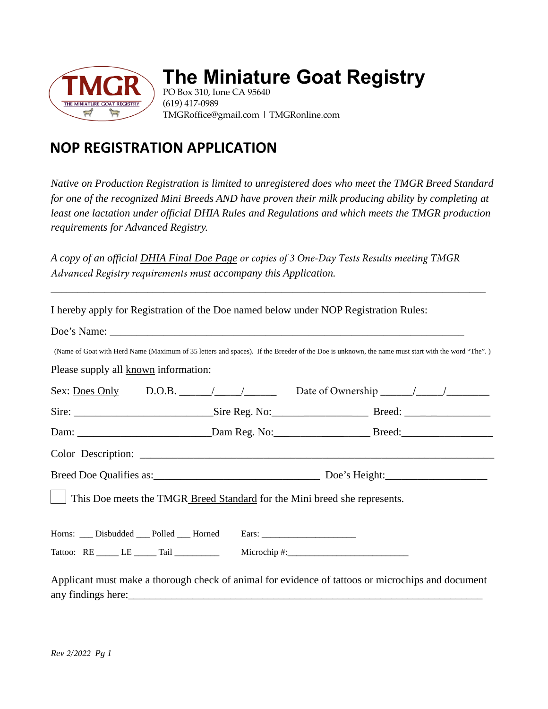

## **The Miniature Goat Registry**

PO Box 310, Ione CA 95640 (619) 417-0989 TMGRoffice@gmail.com | TMGRonline.com

## **NOP REGISTRATION APPLICATION**

*Native on Production Registration is limited to unregistered does who meet the TMGR Breed Standard for one of the recognized Mini Breeds AND have proven their milk producing ability by completing at*  least one lactation under official DHIA Rules and Regulations and which meets the TMGR production *requirements for Advanced Registry.* 

*A copy of an official DHIA Final Doe Page or copies of 3 One-Day Tests Results meeting TMGR Advanced Registry requirements must accompany this Application.*

*\_\_\_\_\_\_\_\_\_\_\_\_\_\_\_\_\_\_\_\_\_\_\_\_\_\_\_\_\_\_\_\_\_\_\_\_\_\_\_\_\_\_\_\_\_\_\_\_\_\_\_\_\_\_\_\_\_\_\_\_\_\_\_\_\_\_\_\_\_\_\_\_\_\_\_\_\_\_\_\_\_*

|                                                                                  |  | I hereby apply for Registration of the Doe named below under NOP Registration Rules:                                                             |  |
|----------------------------------------------------------------------------------|--|--------------------------------------------------------------------------------------------------------------------------------------------------|--|
|                                                                                  |  |                                                                                                                                                  |  |
|                                                                                  |  | (Name of Goat with Herd Name (Maximum of 35 letters and spaces). If the Breeder of the Doe is unknown, the name must start with the word "The".) |  |
| Please supply all known information:                                             |  |                                                                                                                                                  |  |
|                                                                                  |  | Sex: <u>Does Only</u> D.O.B. $\angle$ / / Date of Ownership / / / /                                                                              |  |
|                                                                                  |  |                                                                                                                                                  |  |
|                                                                                  |  |                                                                                                                                                  |  |
|                                                                                  |  |                                                                                                                                                  |  |
|                                                                                  |  |                                                                                                                                                  |  |
|                                                                                  |  | This Doe meets the TMGR Breed Standard for the Mini breed she represents.                                                                        |  |
| Horns: ___ Disbudded ___ Polled ___ Horned Ears: _______________________________ |  |                                                                                                                                                  |  |
|                                                                                  |  |                                                                                                                                                  |  |
|                                                                                  |  | Applicant must make a thorough check of animal for evidence of tattoos or microchips and document                                                |  |